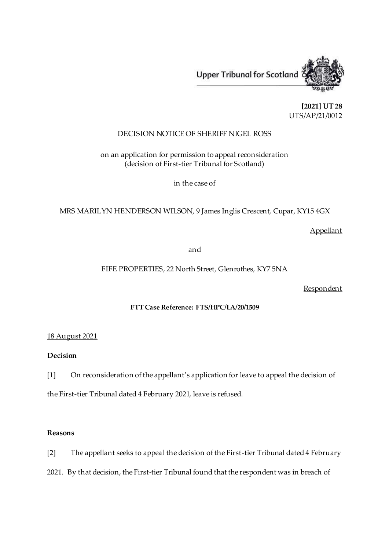

**[2021] UT 28** UTS/AP/21/0012

## DECISION NOTICE OF SHERIFF NIGEL ROSS

on an application for permission to appeal reconsideration (decision of First-tier Tribunal for Scotland)

in the case of

MRS MARILYN HENDERSON WILSON, 9 James Inglis Crescent, Cupar, KY15 4GX

Appellant

and

FIFE PROPERTIES, 22 North Street, Glenrothes, KY7 5NA

**Respondent** 

# **FTT Case Reference: FTS/HPC/LA/20/1509**

## 18 August 2021

# **Decision**

[1] On reconsideration of the appellant's application for leave to appeal the decision of

the First-tier Tribunal dated 4 February 2021, leave is refused.

## **Reasons**

[2] The appellant seeks to appeal the decision of the First-tier Tribunal dated 4 February

2021. By that decision, the First-tier Tribunal found that the respondent was in breach of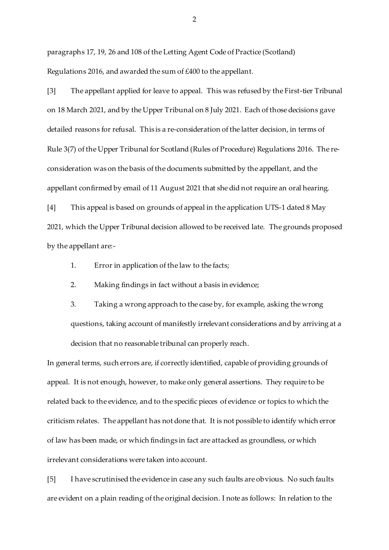paragraphs 17, 19, 26 and 108 of the Letting Agent Code of Practice (Scotland) Regulations 2016, and awarded the sum of £400 to the appellant.

[3] The appellant applied for leave to appeal. This was refused by the First-tier Tribunal on 18 March 2021, and by the Upper Tribunal on 8 July 2021. Each of those decisions gave detailed reasons for refusal. This is a re-consideration of the latter decision, in terms of Rule 3(7) of the Upper Tribunal for Scotland (Rules of Procedure) Regulations 2016. The reconsideration was on the basis of the documents submitted by the appellant, and the appellant confirmed by email of 11 August 2021 that she did not require an oral hearing.

[4] This appeal is based on grounds of appeal in the application UTS-1 dated 8 May 2021, which the Upper Tribunal decision allowed to be received late. The grounds proposed by the appellant are:-

1. Error in application of the law to the facts;

2. Making findings in fact without a basis in evidence;

3. Taking a wrong approach to the case by, for example, asking the wrong questions, taking account of manifestly irrelevant considerations and by arriving at a decision that no reasonable tribunal can properly reach.

In general terms, such errors are, if correctly identified, capable of providing grounds of appeal. It is not enough, however, to make only general assertions. They require to be related back to the evidence, and to the specific pieces of evidence or topics to which the criticism relates. The appellant has not done that. It is not possible to identify which error of law has been made, or which findings in fact are attacked as groundless, or which irrelevant considerations were taken into account.

[5] I have scrutinised the evidence in case any such faults are obvious. No such faults are evident on a plain reading of the original decision. I note as follows: In relation to the

2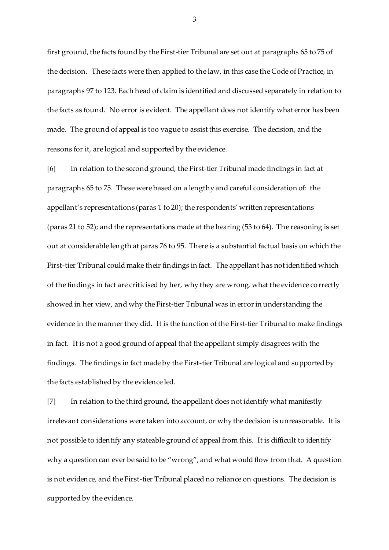first ground, the facts found by the First-tier Tribunal are set out at paragraphs 65 to 75 of the decision. These facts were then applied to the law, in this case the Code of Practice, in paragraphs 97 to 123. Each head of claim is identified and discussed separately in relation to the facts as found. No error is evident. The appellant does not identify what error has been made. The ground of appeal is too vague to assist this exercise. The decision, and the reasons for it, are logical and supported by the evidence.

[6] In relation to the second ground, the First-tier Tribunal made findings in fact at paragraphs 65 to 75. These were based on a lengthy and careful consideration of: the appellant's representations (paras 1 to 20); the respondents' written representations (paras 21 to 52); and the representations made at the hearing (53 to 64). The reasoning is set out at considerable length at paras 76 to 95. There is a substantial factual basis on which the First-tier Tribunal could make their findings in fact. The appellant has not identified which of the findings in fact are criticised by her, why they are wrong, what the evidence correctly showed in her view, and why the First-tier Tribunal was in error in understanding the evidence in the manner they did. It is the function of the First-tier Tribunal to make findings in fact. It is not a good ground of appeal that the appellant simply disagrees with the findings. The findings in fact made by the First-tier Tribunal are logical and supported by the facts established by the evidence led.

[7] In relation to the third ground, the appellant does not identify what manifestly irrelevant considerations were taken into account, or why the decision is unreasonable. It is not possible to identify any stateable ground of appeal from this. It is difficult to identify why a question can ever be said to be "wrong", and what would flow from that. A question is not evidence, and the First-tier Tribunal placed no reliance on questions. The decision is supported by the evidence.

3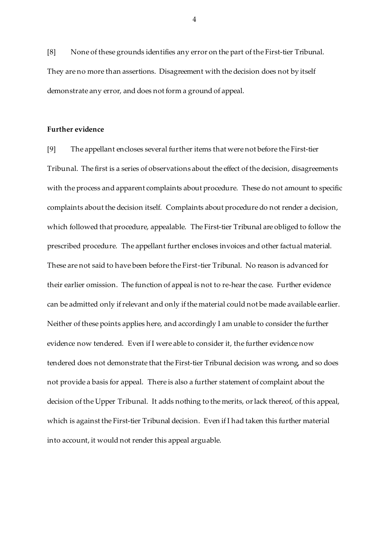[8] None of these grounds identifies any error on the part of the First-tier Tribunal. They are no more than assertions. Disagreement with the decision does not by itself demonstrate any error, and does not form a ground of appeal.

#### **Further evidence**

[9] The appellant encloses several further items that were not before the First-tier Tribunal. The first is a series of observations about the effect of the decision, disagreements with the process and apparent complaints about procedure. These do not amount to specific complaints about the decision itself. Complaints about procedure do not render a decision, which followed that procedure, appealable. The First-tier Tribunal are obliged to follow the prescribed procedure. The appellant further encloses invoices and other factual material. These are not said to have been before the First-tier Tribunal. No reason is advanced for their earlier omission. The function of appeal is not to re-hear the case. Further evidence can be admitted only if relevant and only if the material could not be made available earlier. Neither of these points applies here, and accordingly I am unable to consider the further evidence now tendered. Even if I were able to consider it, the further evidence now tendered does not demonstrate that the First-tier Tribunal decision was wrong, and so does not provide a basis for appeal. There is also a further statement of complaint about the decision of the Upper Tribunal. It adds nothing to the merits, or lack thereof, of this appeal, which is against the First-tier Tribunal decision. Even if I had taken this further material into account, it would not render this appeal arguable.

4